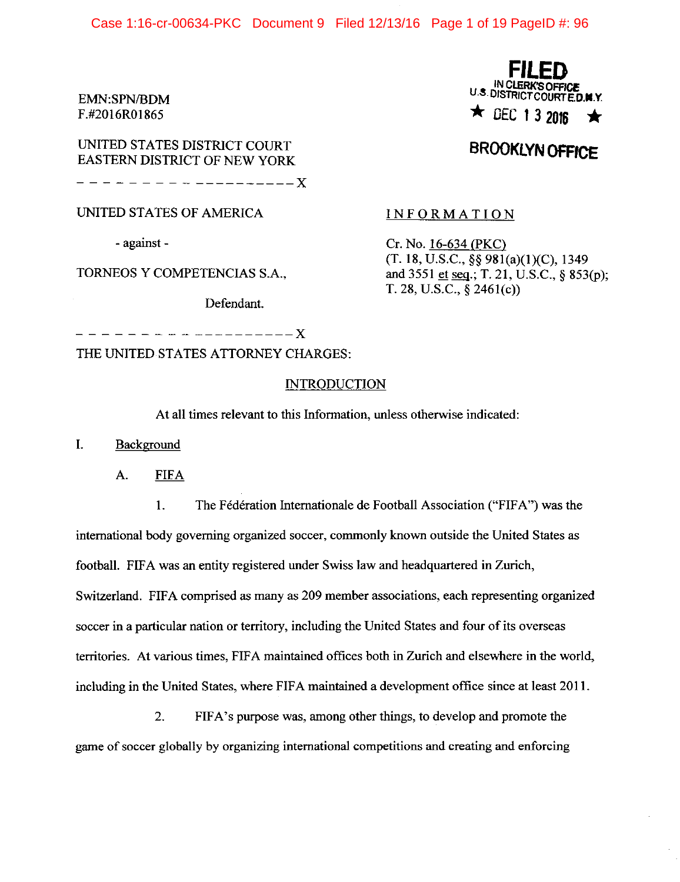Case 1:16-cr-00634-PKC Document 9 Filed 12/13/16 Page 1 of 19 PageID #: 96

EMN:SPN/BDM F.#2016R01865

UNITED STATES DISTRICT COURT EASTERN DISTRICT OF NEW YORK

- - - - - - - - - ----------- X

UNITED STATES OF AMERICA

- against -

TORNEOS Y COMPETENCIAS S.A.,

Defendant.

- - - - - - - - - ------------ X

THE UNITED STATES ATTORNEY CHARGES:

#### **INTRODUCTION**

At all times relevant to this Information, unless otherwise indicated:

- I. Background
	- A. FIFA

1. The Federation Internationale de Football Association ("FIFA") was the international body governing organized soccer, commonly known outside the United States as football. FIFA was an entity registered under Swiss law and headquartered in Zurich, Switzerland. FIFA comprised as many as 209 member associations, each representing organized soccer in a particular nation or territory, including the United States and four of its overseas territories. At various times, FIFA maintained offices both in Zurich and elsewhere in the world, including in the United States, where FIFA maintained a development office since at least 2011.

2. FIFA's purpose was, among other things, to develop and promote the game of soccer globally by organizing international competitions and creating and enforcing

**FILED**  U.S. DISTRICT COURT E.D.M.Y.  $\star$  DEC 1 3 2016

**BROOKLYN OFFrce** 

INFORMATION

Cr. No. 16-634 (PKC) (T. 18, U.S.C., §§ 98l(a)(l)(C), 1349 and 3551 et seq.; T. 21, U.S.C., § 853(p); T. 28, U.S.C., § 246l(c))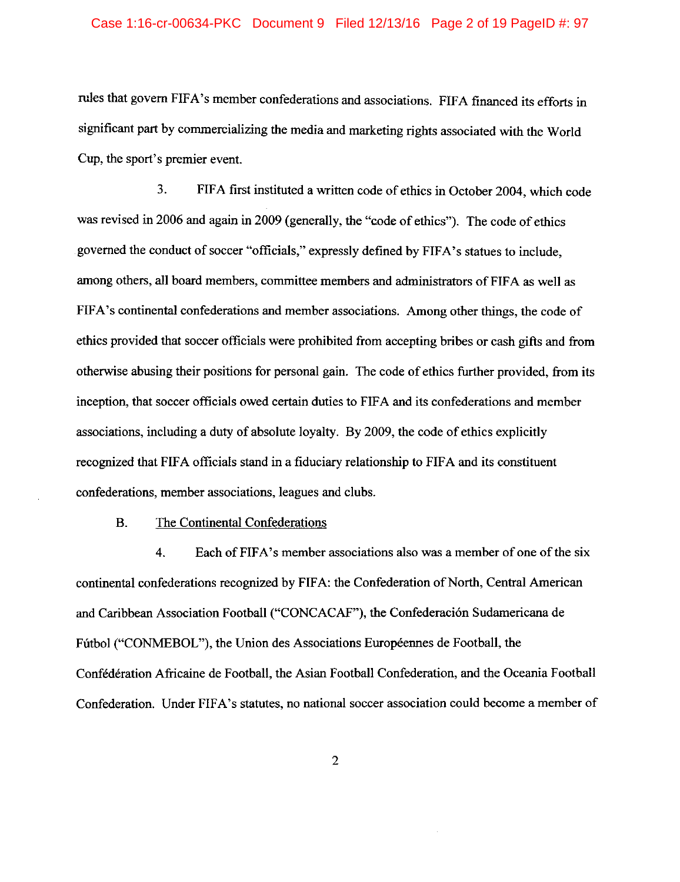rules that govern FIFA's member confederations and associations. FIFA financed its efforts in significant part by commercializing the media and marketing rights associated with the World Cup, the sport's premier event.

3. FIFA first instituted a written code of ethics in October 2004, which code was revised in 2006 and again in 2009 (generally, the "code of ethics"). The code of ethics governed the conduct of soccer "officials," expressly defined by FIFA's statues to include, among others, all board members, committee members and administrators of FIFA as well as FIFA's continental confederations and member associations. Among other things, the code of ethics provided that soccer officials were prohibited from accepting bribes or cash gifts and from otherwise abusing their positions for personal gain. The code of ethics further provided, from its inception, that soccer officials owed certain duties to FIFA and its confederations and member associations, including a duty of absolute loyalty. By 2009, the code of ethics explicitly recognized that FIFA officials stand in a fiduciary relationship to FIFA and its constituent confederations, member associations, leagues and clubs.

# B. The Continental Confederations

4. Each of FIFA's member associations also was a member of one of the six continental confederations recognized by FIFA: the Confederation of North, Central American and Caribbean Association Football ("CONCACAF"), the Confederación Sudamericana de Fútbol ("CONMEBOL"), the Union des Associations Européennes de Football, the Confederation Africaine de Football, the Asian Football Confederation, and the Oceania Football Confederation. Under FIFA's statutes, no national soccer association could become a member of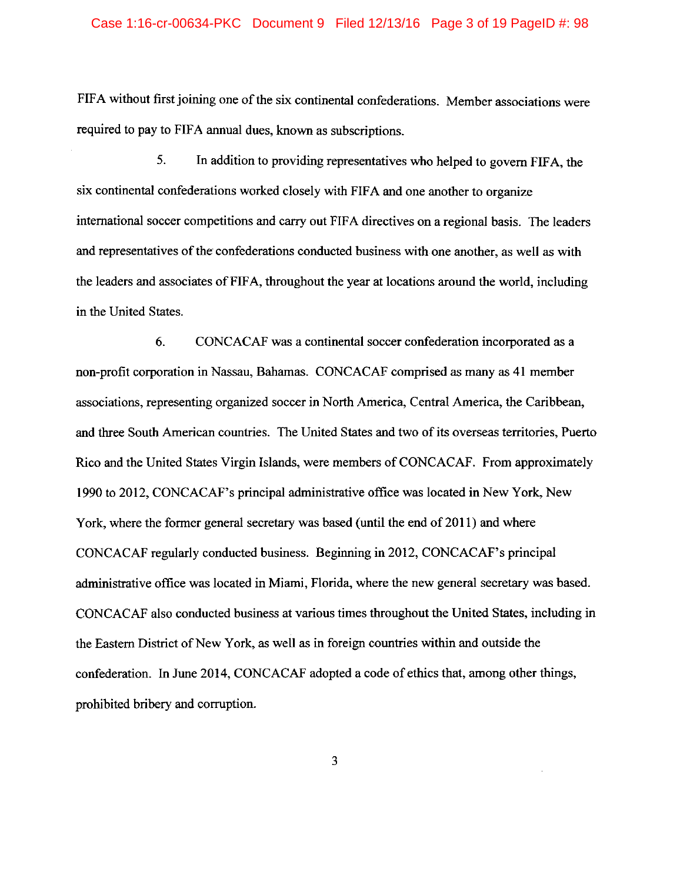FIFA without first joining one of the six continental confederations. Member associations were required to pay to FIFA annual dues, known as subscriptions.

5. In addition to providing representatives who helped to govern FIFA, the six continental confederations worked closely with FIFA and one another to organize international soccer competitions and carry out FIFA directives on a regional basis. The leaders and representatives of the confederations conducted business with one another, as well as with the leaders and associates of FIFA, throughout the year at locations around the world, including in the United States.

6. CONCACAF was a continental soccer confederation incorporated as a non-profit corporation in Nassau, Bahamas. CONCACAF comprised as many as 41 member associations, representing organized soccer in North America, Central America, the Caribbean, and three South American countries. The United States and two of its overseas territories, Puerto Rico and the United States Virgin Islands, were members of CONCACAF. From approximately 1990 to 2012, CONCACAF's principal administrative office was located in New York, New York, where the former general secretary was based (until the end of 2011) and where CONCACAF regularly conducted business. Beginning in 2012, CONCACAF's principal administrative office was located in Miami, Florida, where the new general secretary was based. CONCACAF also conducted business at various times throughout the United States, including in the Eastern District of New York, as well as in foreign countries within and outside the confederation. In June 2014, CONCACAF adopted a code of ethics that, among other things, prohibited bribery and corruption.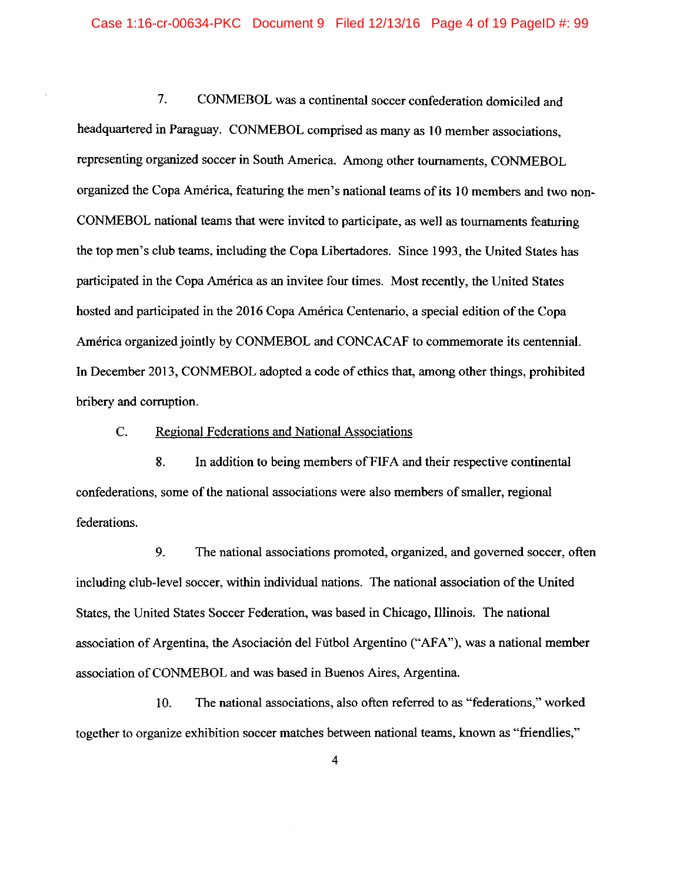7. CONMEBOL was a continental soccer confederation domiciled and headquartered in Paraguay. CONMEBOL comprised as many as 10 member associations, representing organized soccer in South America. Among other tournaments, CONMEBOL organized the Copa America, featuring the men's national teams of its 10 members and two non-CONMEBOL national teams that were invited to participate, as well as tournaments featuring the top men's club teams, including the Copa Libertadores. Since 1993, the United States has participated in the Copa America as an invitee four times. Most recently, the United States hosted and participated in the 2016 Copa America Centenario, a special edition of the Copa America organized jointly by CONMEBOL and CONCACAF to commemorate its centennial. In December 2013, CONMEBOL adopted a code of ethics that, among other things, prohibited bribery and corruption.

# C. Regional Federations and National Associations

8. In addition to being members of FIFA and their respective continental confederations, some of the national associations were also members of smaller, regional federations.

9. The national associations promoted, organized, and governed soccer, often including club-level soccer, within individual nations. The national association of the United States, the United States Soccer Federation, was based in Chicago, Illinois. The national association of Argentina, the Asociación del Fútbol Argentino ("AFA"), was a national member association of CONMEBOL and was based in Buenos Aires, Argentina.

10. The national associations, also often referred to as "federations," worked together to organize exhibition soccer matches between national teams, known as "friendlies,"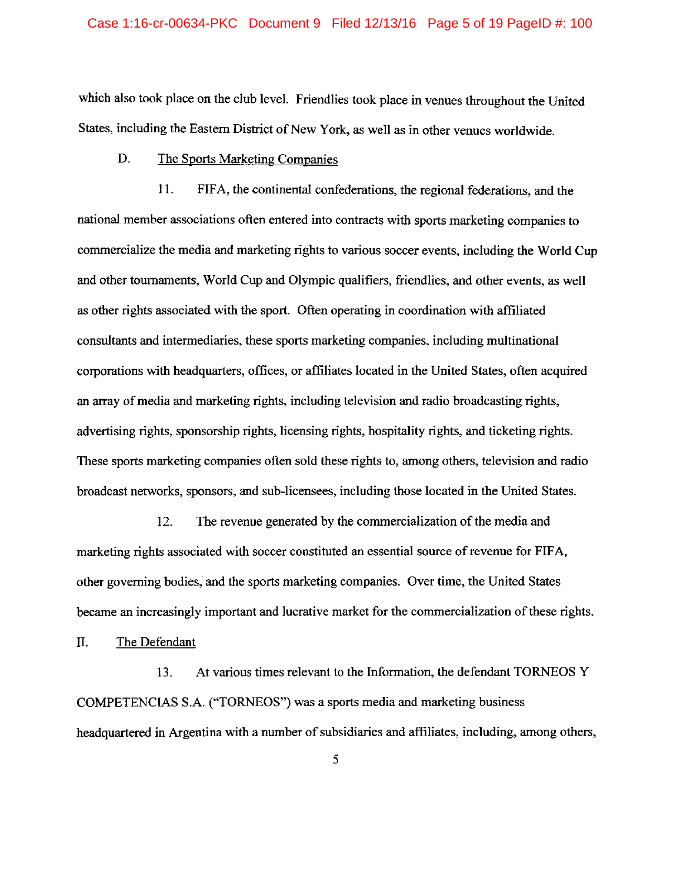which also took place on the club level. Friendlies took place in venues throughout the United States, including the Eastern District of New York, as well as in other venues worldwide.

# D. The Sports Marketing Companies

11. FIFA, the continental confederations, the regional federations, and the national member associations often entered into contracts with sports marketing companies to commercialize the media and marketing rights to various soccer events, including the World Cup and other tournaments, World Cup and Olympic qualifiers, friendlies, and other events, as well as other rights associated with the sport. Often operating in coordination with affiliated consultants and intermediaries, these sports marketing companies, including multinational corporations with headquarters, offices, or affiliates located in the United States, often acquired an array of media and marketing rights, including television and radio broadcasting rights, advertising rights, sponsorship rights, licensing rights, hospitality rights, and ticketing rights. These sports marketing companies often sold these rights to, among others, television and radio broadcast networks, sponsors, and sub-licensees, including those located in the United States.

12. The revenue generated by the commercialization of the media and marketing rights associated with soccer constituted an essential source of revenue for FIFA, other governing bodies, and the sports marketing companies. Over time, the United States became an increasingly important and lucrative market for the commercialization of these rights.

II. The Defendant

13. At various times relevant to the Information, the defendant TORNEOS Y COMPETENCIAS S.A. ("TORNEOS") was a sports media and marketing business headquartered in Argentina with a number of subsidiaries and affiliates, including, among others,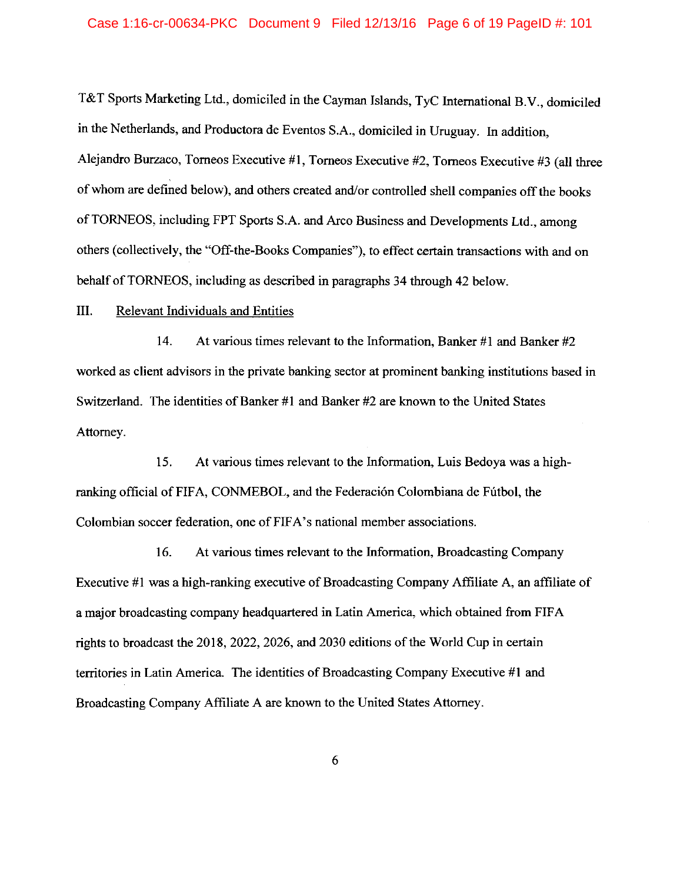#### Case 1:16-cr-00634-PKC Document 9 Filed 12/13/16 Page 6 of 19 PageID #: 101

T&T Sports Marketing Ltd., domiciled in the Cayman Islands, TyC International B.V., domiciled in the Netherlands, and Productora de Eventos S.A., domiciled in Uruguay. In addition, Alejandro Burzaco, Torneos Executive #1, Torneos Executive #2, Torneos Executive #3 (all three of whom are defined below), and others created and/or controlled shell companies off the books of TORNEOS, including FPT Sports S.A. and Arco Business and Developments Ltd., among others (collectively, the "Off-the-Books Companies"), to effect certain transactions with and on behalf of TORNEOS, including as described in paragraphs 34 through 42 below.

## III. Relevant Individuals and Entities

14. At various times relevant to the Information, Banker #1 and Banker #2 worked as client advisors in the private banking sector at prominent banking institutions based in Switzerland. The identities of Banker #1 and Banker #2 are known to the United States Attorney.

15. At various times relevant to the Information, Luis Bedoya was a highranking official of FIFA, CONMEBOL, and the Federación Colombiana de Fútbol, the Colombian soccer federation, one of FIFA's national member associations.

16. At various times relevant to the Information, Broadcasting Company Executive #1 was a high-ranking executive of Broadcasting Company Affiliate A, an affiliate of a major broadcasting company headquartered in Latin America, which obtained from FIFA rights to broadcast the 2018, 2022, 2026, and 2030 editions of the World Cup in certain territories in Latin America. The identities of Broadcasting Company Executive #1 and Broadcasting Company Affiliate A are known to the United States Attorney.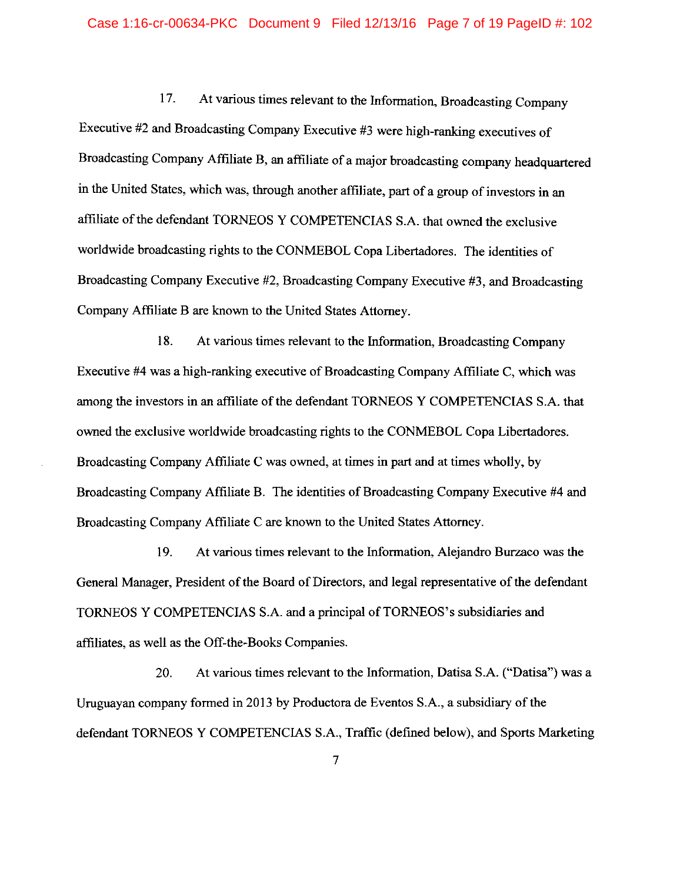#### Case 1:16-cr-00634-PKC Document 9 Filed 12/13/16 Page 7 of 19 PageID #: 102

17. At various times relevant to the Information, Broadcasting Company Executive #2 and Broadcasting Company Executive #3 were high-ranking executives of Broadcasting Company Affiliate B, an affiliate of a major broadcasting company headquartered in the United States, which was, through another affiliate, part of a group of investors in an affiliate of the defendant TORNEOS Y COMPETENCIAS S.A. that owned the exclusive worldwide broadcasting rights to the CONMEBOL Copa Libertadores. The identities of Broadcasting Company Executive #2, Broadcasting Company Executive #3, and Broadcasting Company Affiliate B are known to the United States Attorney.

18. At various times relevant to the Information, Broadcasting Company Executive #4 was a high-ranking executive of Broadcasting Company Affiliate C, which was among the investors in an affiliate of the defendant TORNEOS Y COMPETENCIAS S.A. that owned the exclusive worldwide broadcasting rights to the CONMEBOL Copa Libertadores. Broadcasting Company Affiliate C was owned, at times in part and at times wholly, by Broadcasting Company Affiliate B. The identities of Broadcasting Company Executive #4 and Broadcasting Company Affiliate C are known to the United States Attorney.

19. At various times relevant to the Information, Alejandro Burzaco was the General Manager, President of the Board of Directors, and legal representative of the defendant TORNEOS Y COMPETENCIAS S.A. and a principal of TORNEOS's subsidiaries and affiliates, as well as the Off-the-Books Companies.

20. At various times relevant to the Information, Datisa S.A. ("Datisa") was a Uruguayan company formed in 2013 by Productora de Eventos S.A., a subsidiary of the defendant TORNEOS Y COMPETENCIAS S.A., Traffic (defined below), and Sports Marketing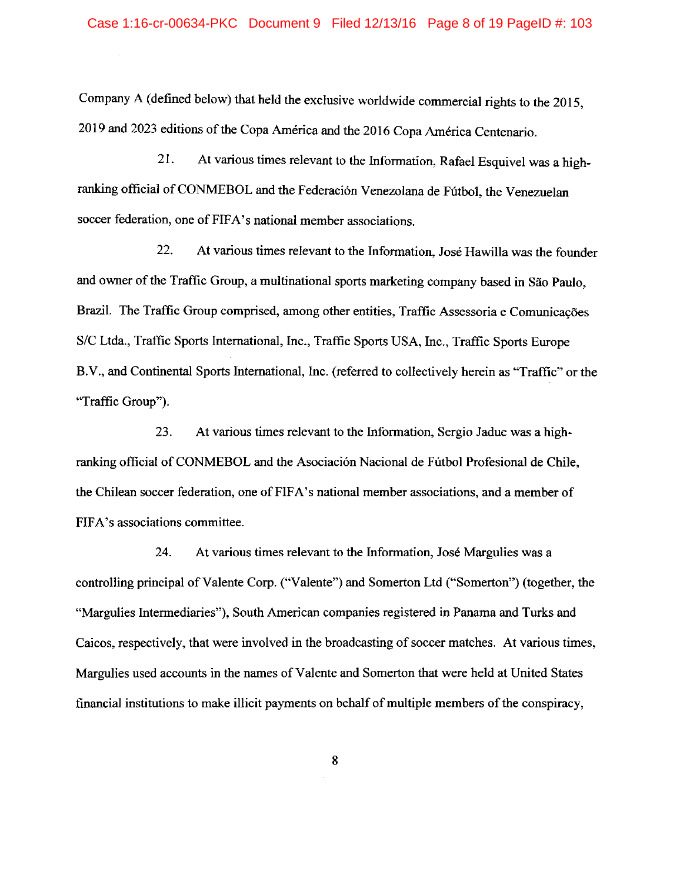Company A (defined below) that held the exclusive worldwide commercial rights to the 2015, 2019 and 2023 editions of the Copa America and the 2016 Copa America Centenario.

21. At various times relevant to the Information, Rafael Esquivel was a highranking official of CONMEBOL and the Federación Venezolana de Fútbol, the Venezuelan soccer federation, one of FIFA's national member associations.

22. At various times relevant to the Information, Jose Hawilla was the founder and owner of the Traffic Group, a multinational sports marketing company based in São Paulo, Brazil. The Traffic Group comprised, among other entities, Traffic Assessoria e Comunicações S/C Ltda., Traffic Sports International, Inc., Traffic Sports USA, Inc., Traffic Sports Europe B.V., and Continental Sports International, Inc. (referred to collectively herein as "Traffic" or the 'Traffic Group").

23. At various times relevant to the Information, Sergio Jadue was a highranking official of CONMEBOL and the Asociación Nacional de Fútbol Profesional de Chile, the Chilean soccer federation, one of FIFA's national member associations, and a member of FIFA's associations committee.

24. At various times relevant to the Information, Jose Margulies was a controlling principal of Valente Corp. ("Valente") and Somerton Ltd ("Somerton") (together, the "Margulies Intermediaries"), South American companies registered in Panama and Turks and Caicos, respectively, that were involved in the broadcasting of soccer matches. At various times, Margulies used accounts in the names of Valente and Somerton that were held at United States financial institutions to make illicit payments on behalf of multiple members of the conspiracy,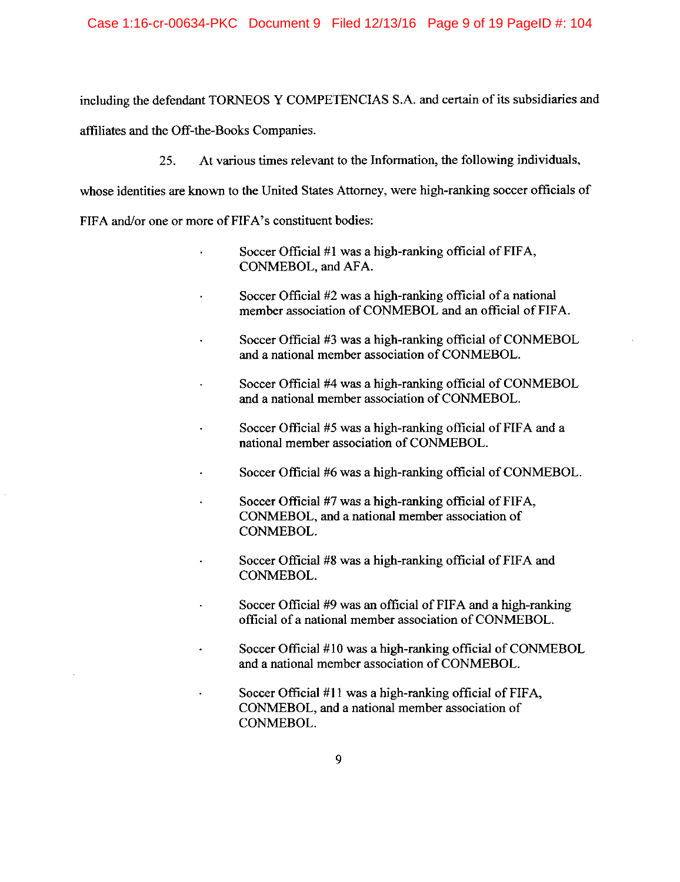including the defendant TORNEOS Y COMPETENCIAS S.A. and certain of its subsidiaries and affiliates and the Off-the-Books Companies.

25. At various times relevant to the Information, the following individuals,

whose identities are known to the United States Attorney, were high-ranking soccer officials of

FIFA and/or one or more of FIFA's constituent bodies:

- Soccer Official  $#1$  was a high-ranking official of FIFA, CONMEBOL, and AFA.
- Soccer Official #2 was a high-ranking official of a national member association of CONMEBOL and an official of FIFA.
- Soccer Official #3 was a high-ranking official of CONMEBOL and a national member association of CONMEBOL.
- Soccer Official #4 was a high-ranking official of CONMEBOL  $\ddot{\phantom{a}}$ and a national member association of CONMEBOL.
- Soccer Official #5 was a high-ranking official of FIFA and a  $\overline{a}$ national member association of CONMEBOL.
- Soccer Official #6 was a high-ranking official of CONMEBOL.  $\overline{a}$
- Soccer Official #7 was a high-ranking official of FIFA, CONMEBOL, and a national member association of CONMEBOL.
- Soccer Official #8 was a high-ranking official of FIFA and CONMEBOL.
- Soccer Official #9 was an official of FIFA and a high-ranking official of a national member association of CONMEBOL.
- Soccer Official #10 was a high-ranking official of CONMEBOL and a national member association of CONMEBOL.
	- Soccer Official #11 was a high-ranking official of FIFA, CONMEBOL, and a national member association of CONMEBOL.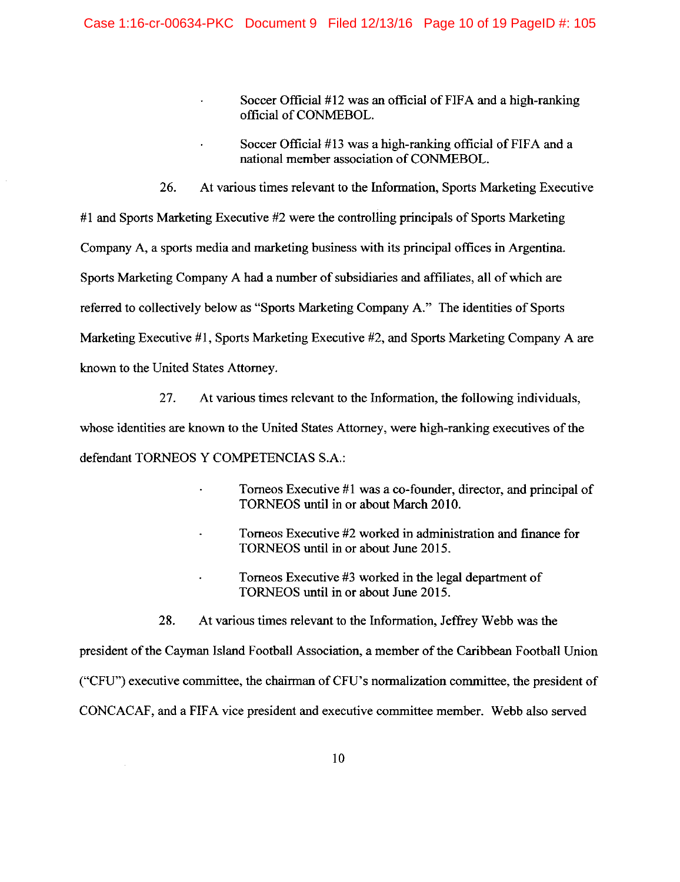$\ddot{\phantom{0}}$ 

Soccer Official  $#12$  was an official of FIFA and a high-ranking official ofCONMEBOL.

- Soccer Official #13 was a high-ranking official of FIFA and a national member association of CONMEBOL.
- 26. At various times relevant to the Information, Sports Marketing Executive

#1 and Sports Marketing Executive #2 were the controlling principals of Sports Marketing Company A, a sports media and marketing business with its principal offices in Argentina. Sports Marketing Company A had a number of subsidiaries and affiliates, all of which are referred to collectively below as "Sports Marketing Company A." The identities of Sports Marketing Executive #1, Sports Marketing Executive #2, and Sports Marketing Company A are known to the United States Attorney.

27. At various times relevant to the Information, the following individuals,

whose identities are known to the United States Attorney, were high-ranking executives of the defendant TORNEOS Y COMPETENCIAS S.A.:

- Torneos Executive #1 was a co-founder, director, and principal of TORNEOS until in or about March 2010.
	- Torneos Executive #2 worked in administration and finance for TORNEOS until in or about June 2015.
	- Torneos Executive #3 worked in the legal department of TORNEOS until in or about June 2015.

28. At various times relevant to the Information, Jeffrey Webb was the president of the Cayman Island Football Association, a member of the Caribbean Football Union ("CFU") executive committee, the chairman of CFU' s normalization committee, the president of CONCACAF, and a FIFA vice president and executive committee member. Webb also served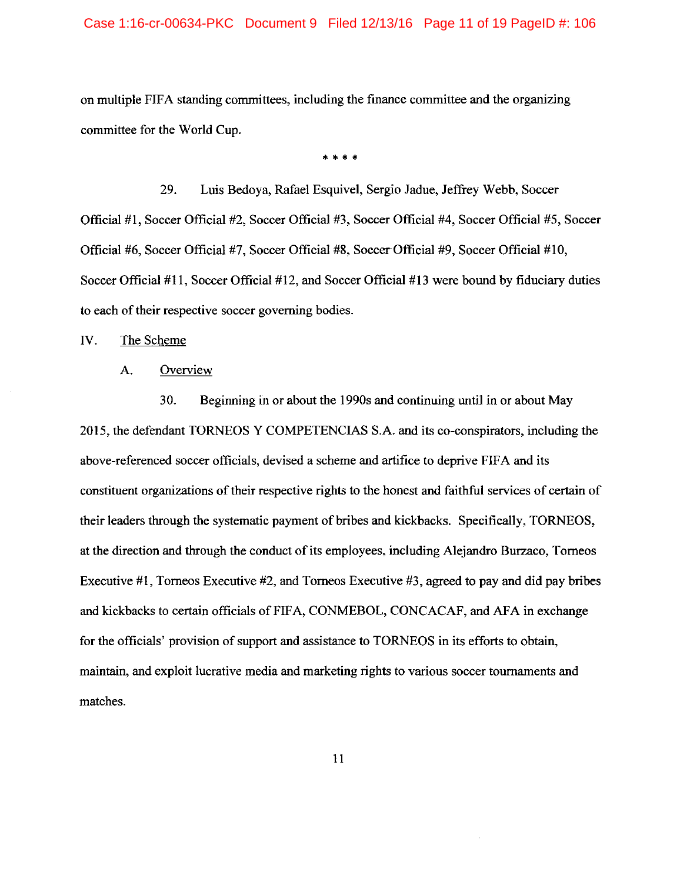#### Case 1:16-cr-00634-PKC Document 9 Filed 12/13/16 Page 11 of 19 PageID #: 106

on multiple FIFA standing committees, including the finance committee and the organizing committee for the World Cup.

\* \* \* \*

29. Luis Bedoya, Rafael Esquivel, Sergio Jadue, Jeffrey Webb, Soccer Official #1, Soccer Official #2, Soccer Official #3, Soccer Official #4, Soccer Official #5, Soccer Official #6, Soccer Official #7, Soccer Official #8, SoccerOfficial #9, Soccer Official #10, Soccer Official #11, Soccer Official #12, and Soccer Official #13 were bound by fiduciary duties to each of their respective soccer governing bodies.

IV. The Scheme

A. Overview

30. Beginning in or about the 1990s and continuing until in or about May 2015, the defendant TORNEOS Y COMPETENCIAS S.A. and its co-conspirators, including the above-referenced soccer officials, devised a scheme and artifice to deprive FIFA and its constituent organizations of their respective rights to the honest and faithful services of certain of their leaders through the systematic payment of bribes and kickbacks. Specifically, TORNEOS, at the direction and through the conduct of its employees, including Alejandro Burzaco, Torneos Executive #1, Torneos Executive #2, and Torneos Executive #3, agreed to pay and did pay bribes and kickbacks to certain officials of FIFA, CONMEBOL, CONCACAF, and AFA in exchange for the officials' provision of support and assistance to TORNEOS in its efforts to obtain, maintain, and exploit lucrative media and marketing rights to various soccer tournaments and matches.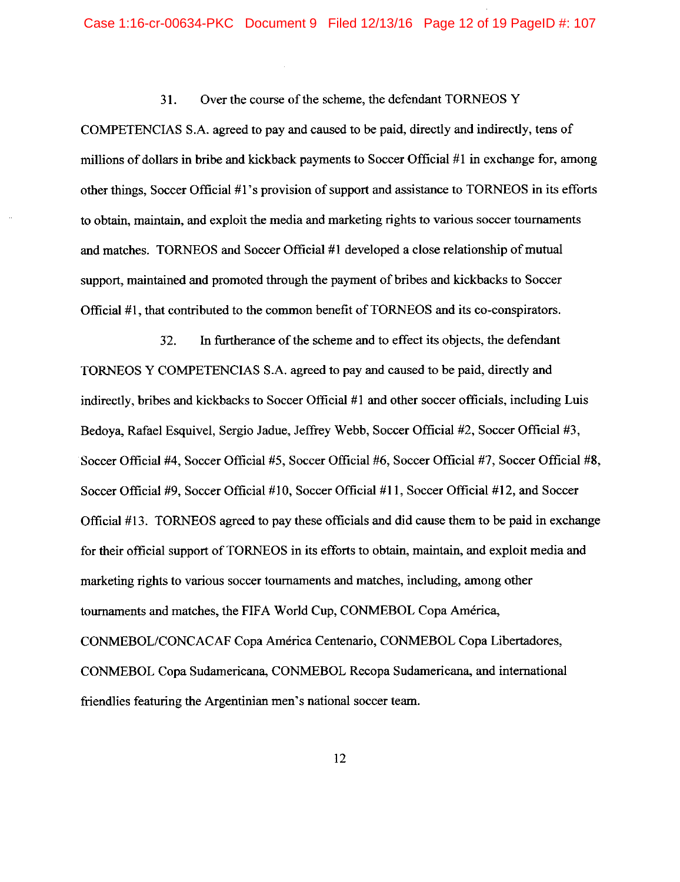## 31. Over the course of the scheme, the defendant TORNEOS Y

COMPETENCIAS S.A. agreed to pay and caused to be paid, directly and indirectly, tens of millions of dollars in bribe and kickback payments to Soccer Official #I in exchange for, among other things, Soccer Official #1 's provision of support and assistance to TORNEOS in its efforts to obtain, maintain, and exploit the media and marketing rights to various soccer tournaments and matches. TORNEOS and Soccer Official #I developed a close relationship of mutual support, maintained and promoted through the payment of bribes and kickbacks to Soccer Official #1, that contributed to the common benefit of TORNEOS and its co-conspirators.

32. In furtherance of the scheme and to effect its objects, the defendant TORNEOS Y COMPETENCIAS S.A. agreed to pay and caused to be paid, directly and indirectly, bribes and kickbacks to Soccer Official #1 and other soccer officials, including Luis Bedoya, Rafael Esquivel, Sergio Jadue, Jeffrey Webb, Soccer Official #2, Soccer Official #3, Soccer Official #4, Soccer Official #5, Soccer Official #6, Soccer Official #7, Soccer Official #8, Soccer Official #9, Soccer Official #10, Soccer Official #11, Soccer Official #12, and Soccer Official #13. TORNEOS agreed to pay these officials and did cause them to be paid in exchange for their official support of TORNEOS in its efforts to obtain, maintain, and exploit media and marketing rights to various soccer tournaments and matches, including, among other tournaments and matches, the FIFA World Cup, CONMEBOL Copa America, CONMEBOL/CONCACAF Copa America Centenario, CONMEBOL Copa Libertadores, CONMEBOL Copa Sudamericana, CONMEBOL Recopa Sudamericana, and international friendlies featuring the Argentinian men's national soccer team.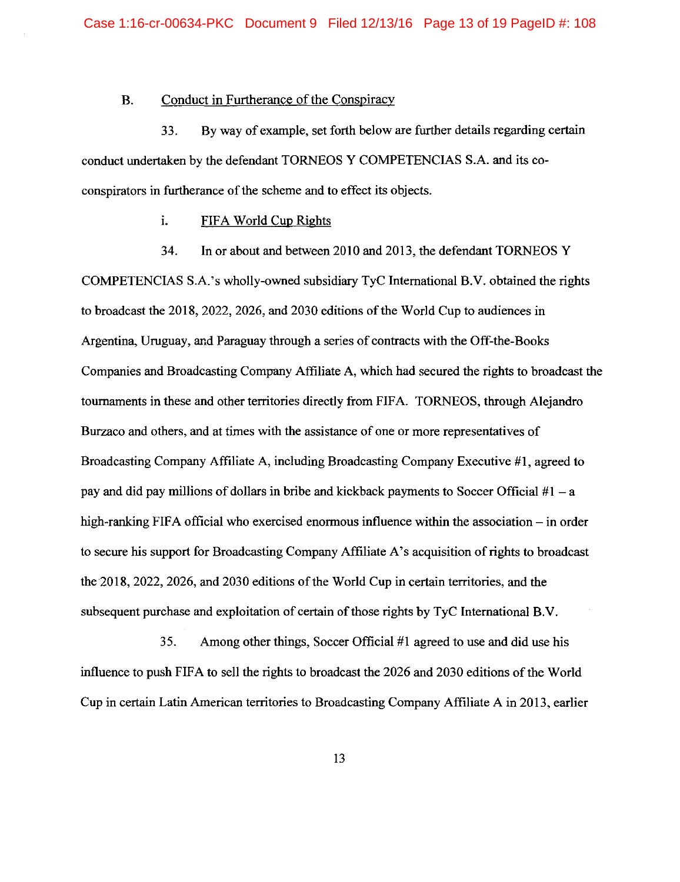## B. Conduct in Furtherance of the Conspiracy

33. By way of example, set forth below are further details regarding certain conduct undertaken by the defendant TORNEOS Y COMPETENCIAS S.A. and its coconspirators in furtherance of the scheme and to effect its objects.

## i. FIFA World Cup Rights

34. In or about and between 2010 and 2013, the defendant TORNEOS Y COMPETENCIAS S.A.'s wholly-owned subsidiary TyC International B.V. obtained the rights to broadcast the 2018, 2022, 2026, and 2030 editions of the World Cup to audiences in Argentina, Uruguay, and Paraguay through a series of contracts with the Off-the-Books Companies and Broadcasting Company Affiliate A, which had secured the rights to broadcast the tournaments in these and other territories directly from FIFA. TORNEOS, through Alejandro Burzaco and others, and at times with the assistance of one or more representatives of Broadcasting Company Affiliate A, including Broadcasting Company Executive #1, agreed to pay and did pay millions of dollars in bribe and kickback payments to Soccer Official  $#1 - a$ high-ranking FIFA official who exercised enormous influence within the association – in order to secure his support for Broadcasting Company Affiliate A's acquisition of rights to broadcast the 2018, 2022, 2026, and 2030 editions of the World Cup in certain territories, and the subsequent purchase and exploitation of certain of those rights by TyC International B. V.

35. Among other things, Soccer Official #1 agreed to use and did use his influence to push FIFA to sell the rights to broadcast the 2026 and 2030 editions of the World Cup in certain Latin American territories to Broadcasting Company Affiliate A in 2013, earlier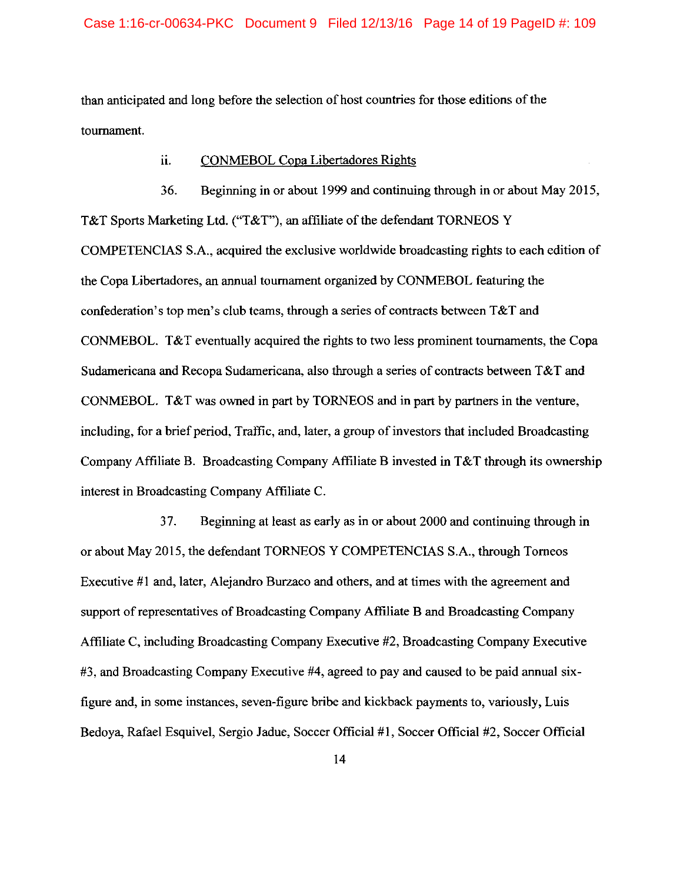than anticipated and long before the selection of host countries for those editions of the tournament.

## ii. CONMEBOL Copa Libertadores Rights

36. Beginning in or about 1999 and continuing through in or about May 2015, T&T Sports Marketing Ltd. ("T&T"), an affiliate of the defendant TORNEOS Y COMPETENCIAS S.A., acquired the exclusive worldwide broadcasting rights to each edition of the Copa Libertadores, an annual tournament organized by CONMEBOL featuring the confederation's top men's club teams, through a series of contracts between  $T\&T$  and CONMEBOL. T&T eventually acquired the rights to two less prominent tournaments, the Copa Sudamericana and Recopa Sudamericana, also through a series of contracts between T&T and CONMEBOL. T&T was owned in part by TORNEOS and in part by partners in the venture, including, for a brief period, Traffic, and, later, a group of investors that included Broadcasting Company Affiliate B. Broadcasting Company Affiliate B invested in T&T through its ownership interest in Broadcasting Company Affiliate C.

3 7. Beginning at least as early as in or about 2000 and continuing through in or about May 2015, the defendant TORNEOS Y COMPETENCIAS S.A., through Tomeos Executive #1 and, later, Alejandro Burzaco and others, and at times with the agreement and support of representatives of Broadcasting Company Affiliate B and Broadcasting Company Affiliate C, including Broadcasting Company Executive #2, Broadcasting Company Executive #3, and Broadcasting Company Executive #4, agreed to pay and caused to be paid annual sixfigure and, in some instances, seven-figure bribe and kickback payments to, variously, Luis Bedoya, Rafael Esquivel, Sergio Jadue, Soccer Official **#1,** Soccer Official #2, Soccer Official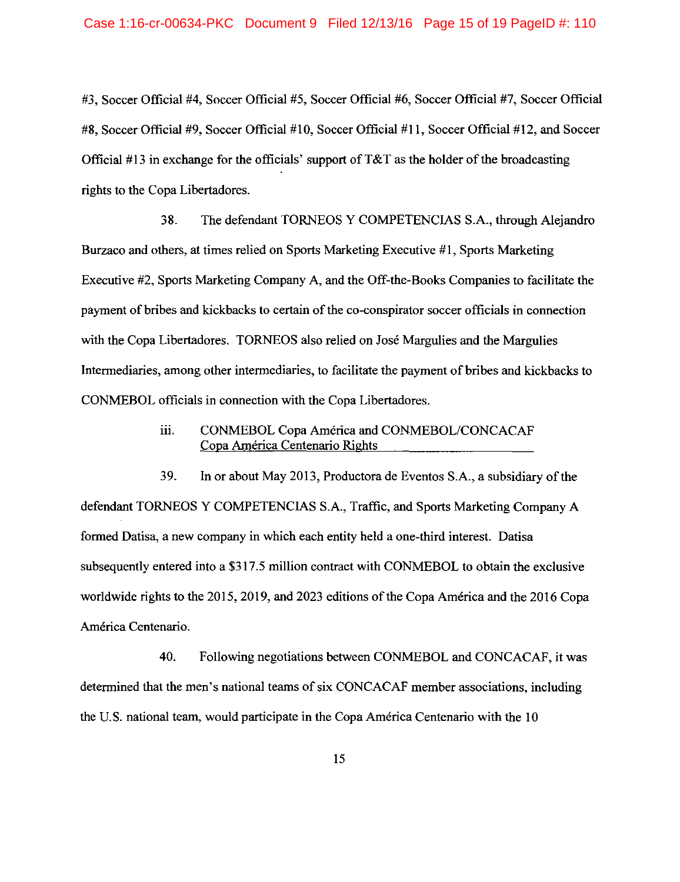#3, Soccer Offidal #4, Soccer Official #5, Soccer Official #6, Soccer Official #7, Soccer Official #8, SoccerOfficial #9, Soccer Official #10, Soccer Official #11, Soccer Official #12, and Soccer Official #13 in exchange for the officials' support of  $T\&T$  as the holder of the broadcasting rights to the Copa Libertadores.

38. The defendant TORNEOS Y COMPETENCIAS S.A., through Alejandro Burzaco and others, at times relied on Sports Marketing Executive #1, Sports Marketing Executive #2, Sports Marketing Company A, and the Off-the-Books Companies to facilitate the payment of bribes and kickbacks to certain of the co-conspirator soccer officials in connection with the Copa Libertadores. TORNEOS also relied on José Margulies and the Margulies Intermediaries, among other intermediaries, to facilitate the payment of bribes and kickbacks to CONMEBOL officials in connection with the Copa Libertadores.

# iii. CONMEBOL Copa América and CONMEBOL/CONCACAF Copa América Centenario Rights

39. In or about May 2013, Productora de Eventos S.A., a subsidiary of the defendant TORNEOS Y COMPETENCIAS S.A., Traffic, and Sports Marketing Company A formed Datisa, a new company in which each entity held a one-third interest. Datisa subsequently entered into a \$317.5 million contract with CONMEBOL to obtain the exclusive worldwide rights to the 2015, 2019, and 2023 editions of the Copa America and the 2016 Copa America Centenario.

40. Following negotiations between CONMEBOL and CONCACAF, it was determined that the men's national teams of six CONCACAF member associations, including the U.S. national team, would participate in the Copa America Centenario with the 10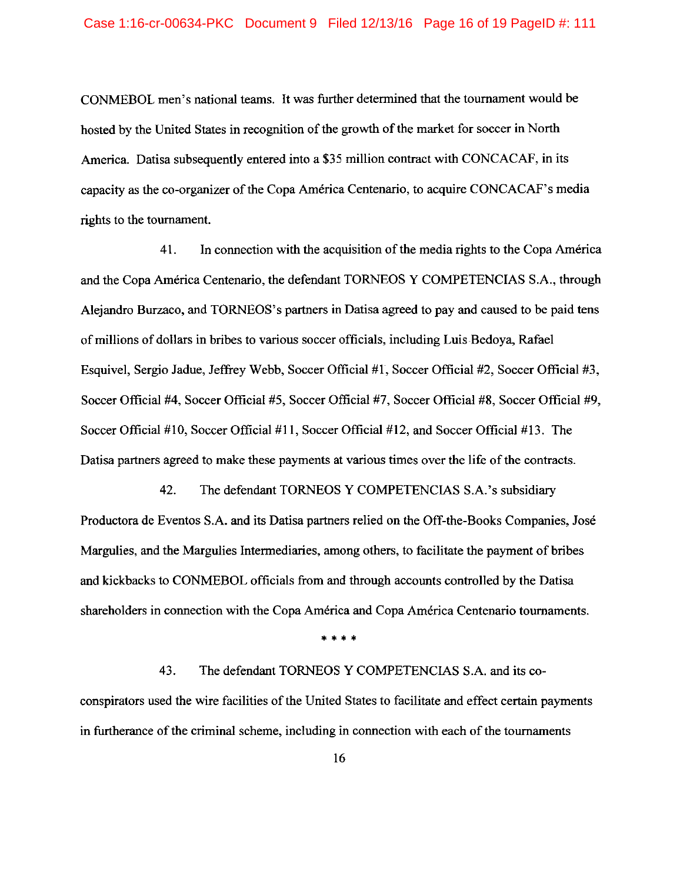CONMEBOL men's national teams. It was further determined that the tournament would be hosted by the United States in recognition of the growth of the market for soccer in North America. Datisa subsequently entered into a \$35 million contract with CONCACAF, in its capacity as the co-organizer of the Copa America Centenario, to acquire CONCACAF's media rights to the tournament.

41. In connection with the acquisition of the media rights to the Copa America and the Copa America Centenario, the defendant TORNEOS Y COMPETENCIAS S.A., through Alejandro Burzaco, and TORNEOS's partners in Datisa agreed to pay and caused to be paid tens of millions of dollars in bribes to various soccer officials, including Luis Bedoya, Rafael Esquivel, Sergio Jadue, Jeffrey Webb, Soccer Official #1, Soccer Official #2, Soccer Official #3, Soccer Official #4, Soccer Official #5, Soccer Official #7, Soccer Official #8, Soccer Official #9, Soccer Official #10, Soccer Official #11, Soccer Official #12, and Soccer Official #13. The Datisa partners agreed to make these payments at various times over the life of the contracts.

42. The defendant TORNEOS Y COMPETENCIAS S.A.'s subsidiary Productora de Eventos S.A. and its Datisa partners relied on the Off-the-Books Companies, Jose Margulies, and the Margulies Intermediaries, among others, to facilitate the payment of bribes and kickbacks to CONMEBOL officials from and through accounts controlled by the Datisa shareholders in connection with the Copa América and Copa América Centenario tournaments.

\* \* \* \*

43. The defendant TORNEOS Y COMPETENCIAS S.A. and its coconspirators used the wire facilities of the United States to facilitate and effect certain payments in furtherance of the criminal scheme, including in connection with each of the tournaments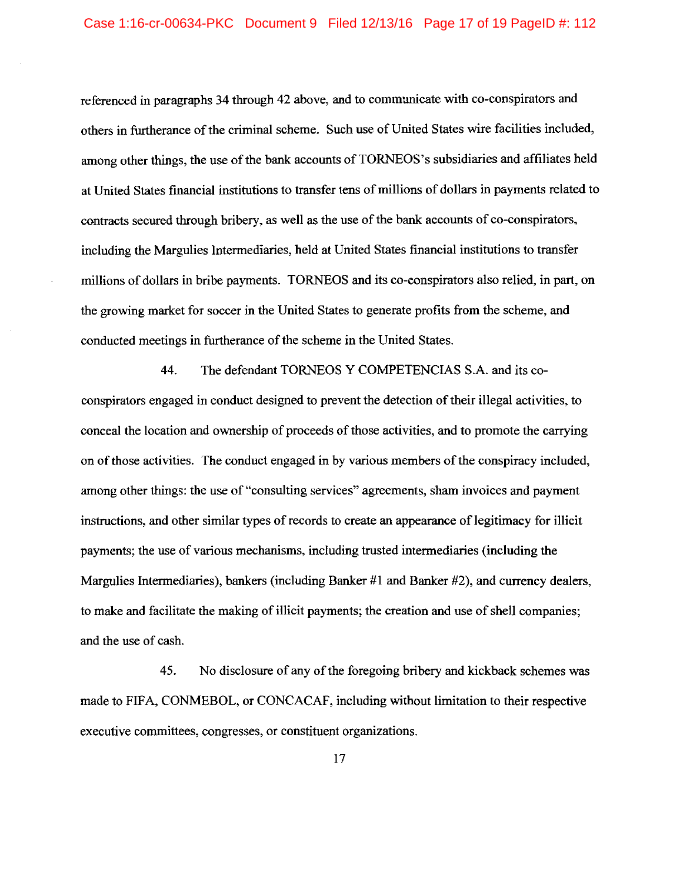referenced in paragraphs 34 through 42 above, and to communicate with co-conspirators and others in furtherance of the criminal scheme. Such use of United States wire facilities included, among other things, the use of the bank accounts of TORNEOS's subsidiaries and affiliates held at United States financial institutions to transfer tens of millions of dollars in payments related to contracts secured through bribery, as well as the use of the bank accounts of co-conspirators, including the Margulies Intermediaries, held at United States financial institutions to transfer millions of dollars in bribe payments. TORNEOS and its co-conspirators also relied, in part, on the growing market for soccer in the United States to generate profits from the scheme, and conducted meetings in furtherance of the scheme in the United States.

44. The defendant TORNEOS Y COMPETENCIAS S.A. and its coconspirators engaged in conduct designed to prevent the detection of their illegal activities, to conceal the location and ownership of proceeds of those activities, and to promote the carrying on of those activities. The conduct engaged in by various members of the conspiracy included, among other things: the use of"consulting services" agreements, sham invoices and payment instructions, and other similar types of records to create an appearance of legitimacy for illicit payments; the use of various mechanisms, including trusted intermediaries (including the Margulies Intermediaries), bankers (including Banker #1 and Banker #2), and currency dealers, to make and facilitate the making of illicit payments; the creation and use of shell companies; and the use of cash.

45. No disclosure of any of the foregoing bribery and kickback schemes was made to FIFA, CONMEBOL, or CONCACAF, including without limitation to their respective executive committees, congresses, or constituent organizations.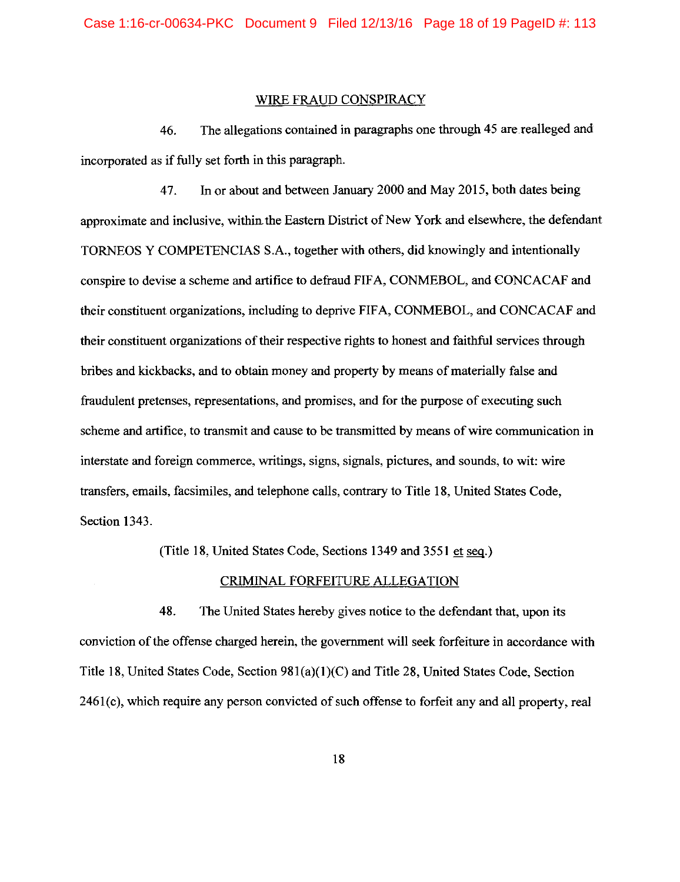#### WIRE FRAUD CONSPIRACY

46. The allegations contained in paragraphs one through 45 are realleged and incorporated as if fully set forth in this paragraph.

47. In or about and between January 2000 and May 2015, both dates being approximate and inclusive, within the Eastern District of New York and elsewhere, the defendant TORNEOS Y COMPETENCIAS S.A., together with others, did knowingly and intentionally conspire to devise a scheme and artifice to defraud FIFA, CONMEBOL, and CONCACAF and their constituent organizations, including to deprive FIFA, CONMEBOL, and CONCACAF and their constituent organizations of their respective rights to honest and faithful services through bribes and kickbacks, and to obtain money and property by means of materially false and fraudulent pretenses, representations, and promises, and for the purpose of executing such scheme and artifice, to transmit and cause to be transmitted by means of wire communication in interstate and foreign commerce, writings, signs, signals, pictures, and sounds, to wit: wire transfers, emails, facsimiles, and telephone calls, contrary to Title 18, United States Code, Section 1343.

(Title 18, United States Code, Sections 1349 and 3551 et seq.)

## CRIMINAL FORFEITURE ALLEGATION

48. The United States hereby gives notice to the defendant that, upon its conviction of the offense charged herein, the government will seek forfeiture in accordance with Title 18, United States Code, Section  $981(a)(1)(C)$  and Title 28, United States Code, Section 2461(c), which require any person convicted of such offense to forfeit any and all property, real